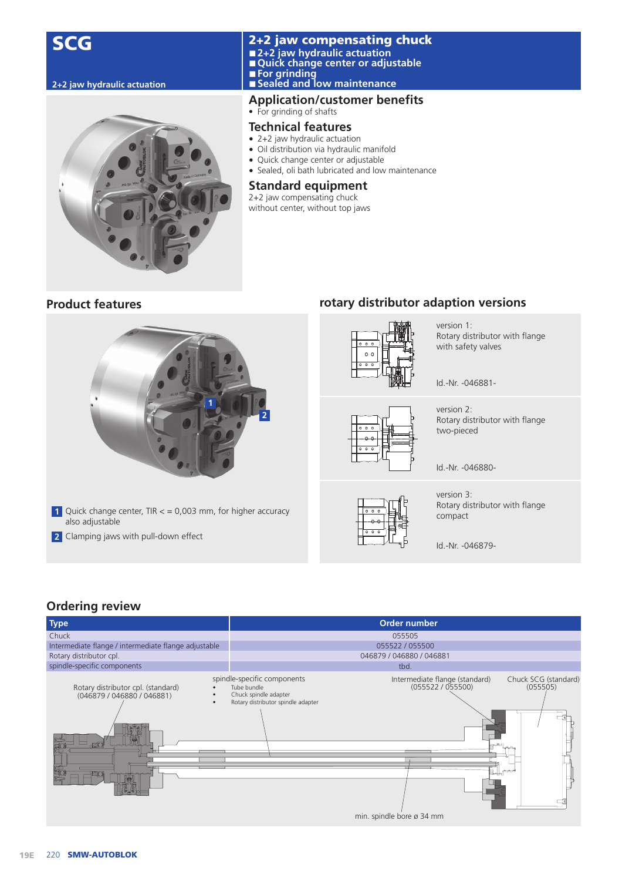



#### 2+2 jaw compensating chuck **■ 2+2 jaw hydraulic actuation ■ Quick change center or adjustable ■ For grinding 2+2 jaw hydraulic actuation ■ Sealed and low maintenance**

# **Application/customer benefits**

#### • For grinding of shafts

#### **Technical features**

- 2+2 jaw hydraulic actuation
- Oil distribution via hydraulic manifold
- Quick change center or adjustable
- Sealed, oli bath lubricated and low maintenance

#### **Standard equipment**

2+2 jaw compensating chuck without center, without top jaws

# **Product features**



- **1** Quick change center, TIR < = 0,003 mm, for higher accuracy also adjustable
- **2** Clamping jaws with pull-down effect

# **rotary distributor adaption versions**



version 1: Rotary distributor with flange with safety valves

Id.-Nr. -046881-

version 2: Rotary distributor with flange two-pieced

Id.-Nr. -046880-

version 3: Rotary distributor with flange compact

Id.-Nr. -046879-

## **Ordering review**